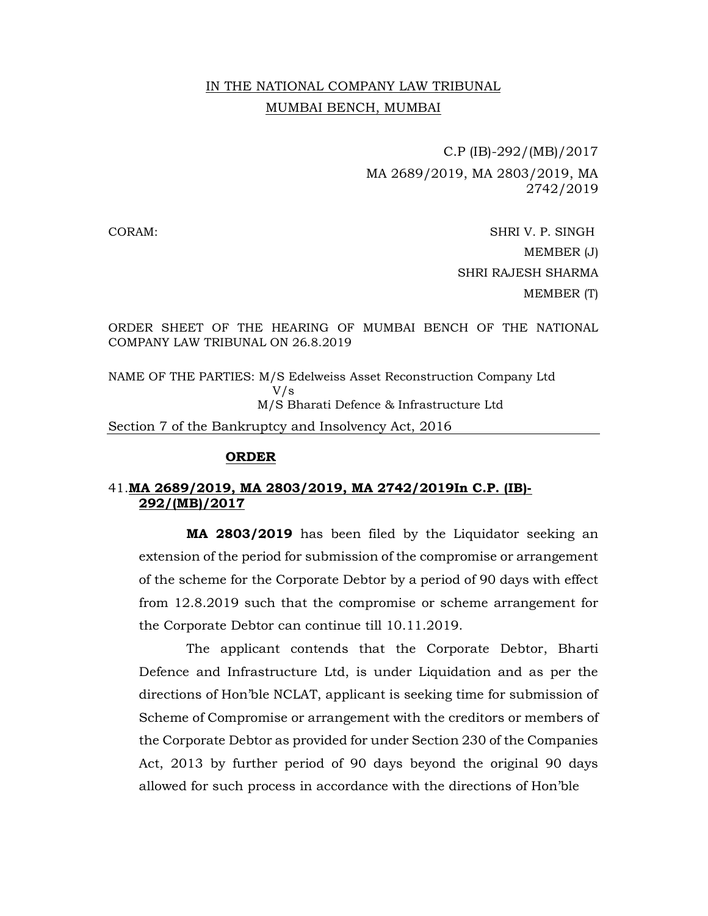## IN THE NATIONAL COMPANY LAW TRIBUNAL MUMBAI BENCH, MUMBAI

 C.P (IB)-292/(MB)/2017 MA 2689/2019, MA 2803/2019, MA 2742/2019

CORAM: SHRI V. P. SINGH MEMBER (J) SHRI RAJESH SHARMA MEMBER (T)

ORDER SHEET OF THE HEARING OF MUMBAI BENCH OF THE NATIONAL COMPANY LAW TRIBUNAL ON 26.8.2019

NAME OF THE PARTIES: M/S Edelweiss Asset Reconstruction Company Ltd V/s M/S Bharati Defence & Infrastructure Ltd

Section 7 of the Bankruptcy and Insolvency Act, 2016

## ORDER

## 41.MA 2689/2019, MA 2803/2019, MA 2742/2019In C.P. (IB)- 292/(MB)/2017

 MA 2803/2019 has been filed by the Liquidator seeking an extension of the period for submission of the compromise or arrangement of the scheme for the Corporate Debtor by a period of 90 days with effect from 12.8.2019 such that the compromise or scheme arrangement for the Corporate Debtor can continue till 10.11.2019.

 The applicant contends that the Corporate Debtor, Bharti Defence and Infrastructure Ltd, is under Liquidation and as per the directions of Hon'ble NCLAT, applicant is seeking time for submission of Scheme of Compromise or arrangement with the creditors or members of the Corporate Debtor as provided for under Section 230 of the Companies Act, 2013 by further period of 90 days beyond the original 90 days allowed for such process in accordance with the directions of Hon'ble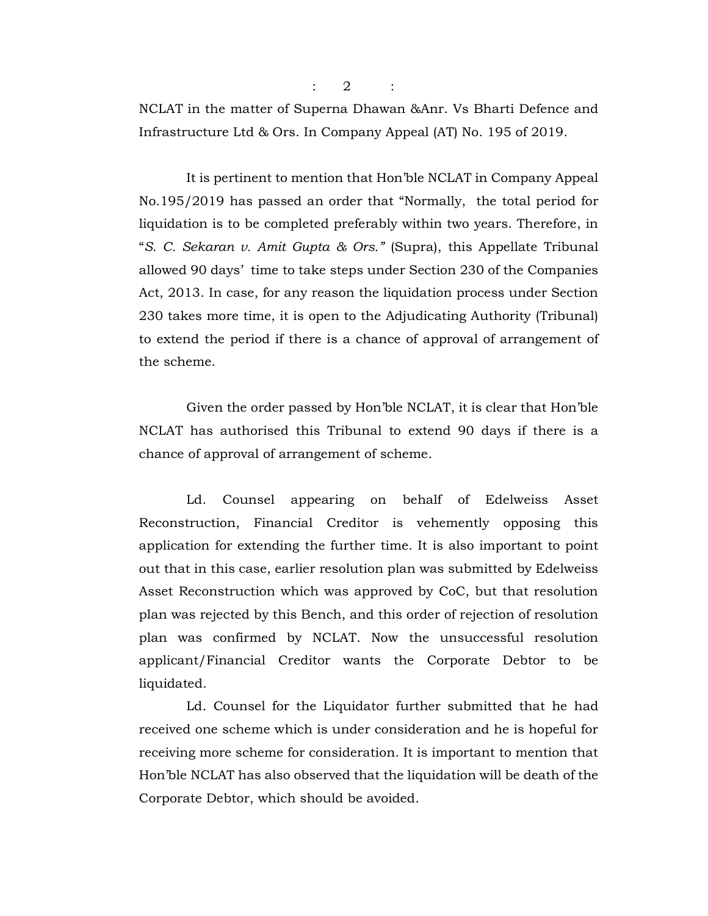$: 2 :$ 

NCLAT in the matter of Superna Dhawan &Anr. Vs Bharti Defence and Infrastructure Ltd & Ors. In Company Appeal (AT) No. 195 of 2019.

 It is pertinent to mention that Hon'ble NCLAT in Company Appeal No.195/2019 has passed an order that "Normally, the total period for liquidation is to be completed preferably within two years. Therefore, in "S. C. Sekaran v. Amit Gupta & Ors." (Supra), this Appellate Tribunal allowed 90 days' time to take steps under Section 230 of the Companies Act, 2013. In case, for any reason the liquidation process under Section 230 takes more time, it is open to the Adjudicating Authority (Tribunal) to extend the period if there is a chance of approval of arrangement of the scheme.

 Given the order passed by Hon'ble NCLAT, it is clear that Hon'ble NCLAT has authorised this Tribunal to extend 90 days if there is a chance of approval of arrangement of scheme.

 Ld. Counsel appearing on behalf of Edelweiss Asset Reconstruction, Financial Creditor is vehemently opposing this application for extending the further time. It is also important to point out that in this case, earlier resolution plan was submitted by Edelweiss Asset Reconstruction which was approved by CoC, but that resolution plan was rejected by this Bench, and this order of rejection of resolution plan was confirmed by NCLAT. Now the unsuccessful resolution applicant/Financial Creditor wants the Corporate Debtor to be liquidated.

 Ld. Counsel for the Liquidator further submitted that he had received one scheme which is under consideration and he is hopeful for receiving more scheme for consideration. It is important to mention that Hon'ble NCLAT has also observed that the liquidation will be death of the Corporate Debtor, which should be avoided.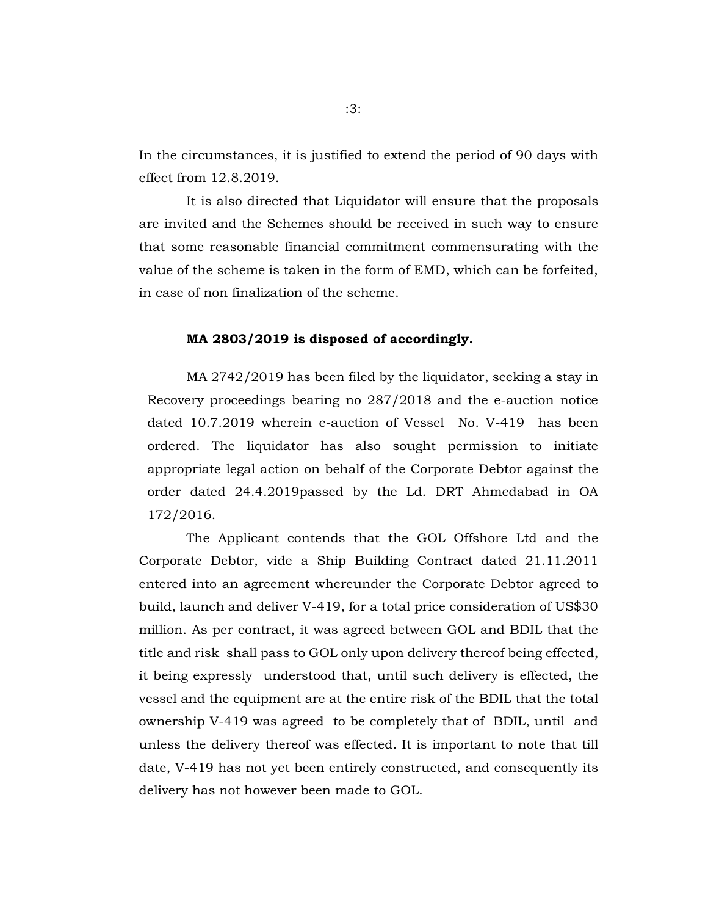In the circumstances, it is justified to extend the period of 90 days with effect from 12.8.2019.

 It is also directed that Liquidator will ensure that the proposals are invited and the Schemes should be received in such way to ensure that some reasonable financial commitment commensurating with the value of the scheme is taken in the form of EMD, which can be forfeited, in case of non finalization of the scheme.

## MA 2803/2019 is disposed of accordingly.

MA 2742/2019 has been filed by the liquidator, seeking a stay in Recovery proceedings bearing no 287/2018 and the e-auction notice dated 10.7.2019 wherein e-auction of Vessel No. V-419 has been ordered. The liquidator has also sought permission to initiate appropriate legal action on behalf of the Corporate Debtor against the order dated 24.4.2019passed by the Ld. DRT Ahmedabad in OA 172/2016.

 The Applicant contends that the GOL Offshore Ltd and the Corporate Debtor, vide a Ship Building Contract dated 21.11.2011 entered into an agreement whereunder the Corporate Debtor agreed to build, launch and deliver V-419, for a total price consideration of US\$30 million. As per contract, it was agreed between GOL and BDIL that the title and risk shall pass to GOL only upon delivery thereof being effected, it being expressly understood that, until such delivery is effected, the vessel and the equipment are at the entire risk of the BDIL that the total ownership V-419 was agreed to be completely that of BDIL, until and unless the delivery thereof was effected. It is important to note that till date, V-419 has not yet been entirely constructed, and consequently its delivery has not however been made to GOL.